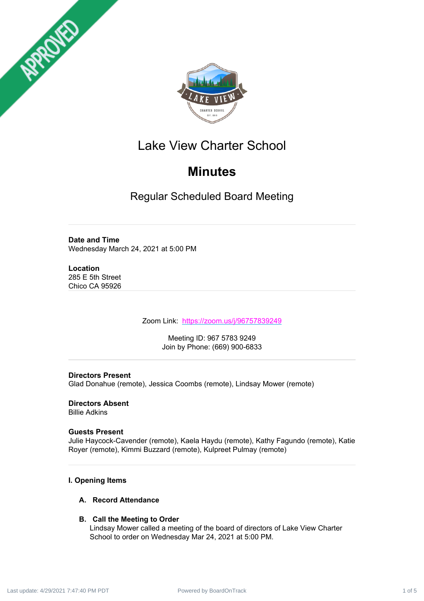



# Lake View Charter School

# **Minutes**

Regular Scheduled Board Meeting

# **Date and Time**

Wednesday March 24, 2021 at 5:00 PM

# **Location**

285 E 5th Street Chico CA 95926

Zoom Link: <https://zoom.us/j/96757839249>

Meeting ID: 967 5783 9249 Join by Phone: (669) 900-6833

# **Directors Present**

Glad Donahue (remote), Jessica Coombs (remote), Lindsay Mower (remote)

# **Directors Absent**

Billie Adkins

# **Guests Present**

Julie Haycock-Cavender (remote), Kaela Haydu (remote), Kathy Fagundo (remote), Katie Royer (remote), Kimmi Buzzard (remote), Kulpreet Pulmay (remote)

# **I. Opening Items**

## **A. Record Attendance**

# **B. Call the Meeting to Order**

Lindsay Mower called a meeting of the board of directors of Lake View Charter School to order on Wednesday Mar 24, 2021 at 5:00 PM.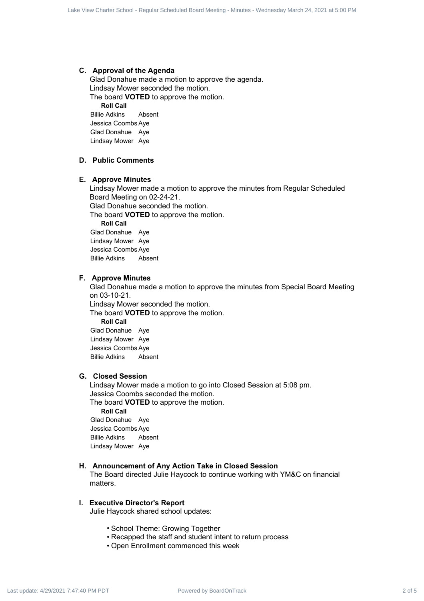#### **C. Approval of the Agenda**

Glad Donahue made a motion to approve the agenda. Lindsay Mower seconded the motion.

The board **VOTED** to approve the motion.

**Roll Call**

Billie Adkins Absent Jessica Coombs Aye Glad Donahue Aye Lindsay Mower Aye

#### **D. Public Comments**

#### **E. Approve Minutes**

Lindsay Mower made a motion to approve the minutes from Regular Scheduled Board Meeting on 02-24-21. Glad Donahue seconded the motion. The board **VOTED** to approve the motion. **Roll Call** Glad Donahue Aye Lindsay Mower Aye

Jessica Coombs Aye Billie Adkins Absent

#### **F. Approve Minutes**

Glad Donahue made a motion to approve the minutes from Special Board Meeting on 03-10-21. Lindsay Mower seconded the motion. The board **VOTED** to approve the motion. **Roll Call** Glad Donahue Aye

Lindsay Mower Aye Jessica Coombs Aye Billie Adkins Absent

## **G. Closed Session**

Lindsay Mower made a motion to go into Closed Session at 5:08 pm. Jessica Coombs seconded the motion. The board **VOTED** to approve the motion. **Roll Call** Glad Donahue Aye Jessica Coombs Aye Billie Adkins Absent ole Contract 2 of 5 Lake View Charter School - Regular Scheduled Board - Contract 2 of 5 Lake View Charter School - Regular Scheduled Board - Regular Scheduled Board - Minutes - Minutes - Minutes - Minutes - Minutes - Mi

Lindsay Mower Aye

#### **H. Announcement of Any Action Take in Closed Session**

The Board directed Julie Haycock to continue working with YM&C on financial matters.

#### **I. Executive Director's Report**

Julie Haycock shared school updates:

- School Theme: Growing Together
- Recapped the staff and student intent to return process
- Open Enrollment commenced this week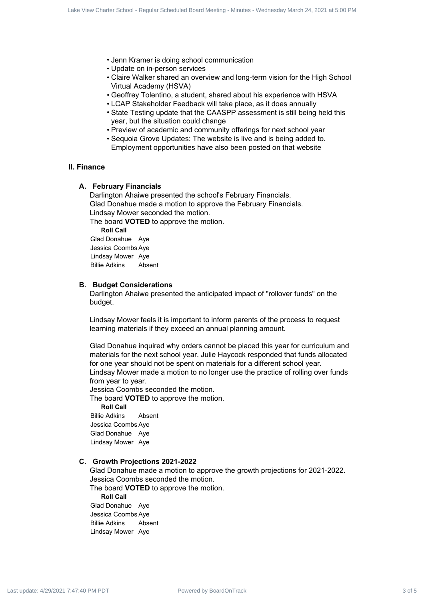- Jenn Kramer is doing school communication
- Update on in-person services
- Claire Walker shared an overview and long-term vision for the High School Virtual Academy (HSVA)
- Geoffrey Tolentino, a student, shared about his experience with HSVA
- LCAP Stakeholder Feedback will take place, as it does annually
- State Testing update that the CAASPP assessment is still being held this year, but the situation could change
- Preview of academic and community offerings for next school year
- Sequoia Grove Updates: The website is live and is being added to. Employment opportunities have also been posted on that website

#### **II. Finance**

#### **A. February Financials**

Darlington Ahaiwe presented the school's February Financials. Glad Donahue made a motion to approve the February Financials. Lindsay Mower seconded the motion.

The board **VOTED** to approve the motion.

**Roll Call** Glad Donahue Aye Jessica Coombs Aye

Lindsay Mower Aye Billie Adkins Absent

#### **B. Budget Considerations**

Darlington Ahaiwe presented the anticipated impact of "rollover funds" on the budget.

Lindsay Mower feels it is important to inform parents of the process to request learning materials if they exceed an annual planning amount.

Glad Donahue inquired why orders cannot be placed this year for curriculum and materials for the next school year. Julie Haycock responded that funds allocated for one year should not be spent on materials for a different school year. Lindsay Mower made a motion to no longer use the practice of rolling over funds from year to year. 2.8 of 6 Care Stock 3 operator 4 of 5 Lake View Charter School - Regular Schedule Board - Regular School - Regular Schedule Board - Company March 24, 2021 7:47:40 (Company March 24, 2021 7:47:40 (Company March 24, 2021

Jessica Coombs seconded the motion.

The board **VOTED** to approve the motion.

**Roll Call**

Billie Adkins Absent Jessica Coombs Aye Glad Donahue Aye Lindsay Mower Aye

#### **C. Growth Projections 2021-2022**

Glad Donahue made a motion to approve the growth projections for 2021-2022. Jessica Coombs seconded the motion.

The board **VOTED** to approve the motion. **Roll Call** Glad Donahue Aye

Jessica Coombs Aye Billie Adkins Absent Lindsay Mower Aye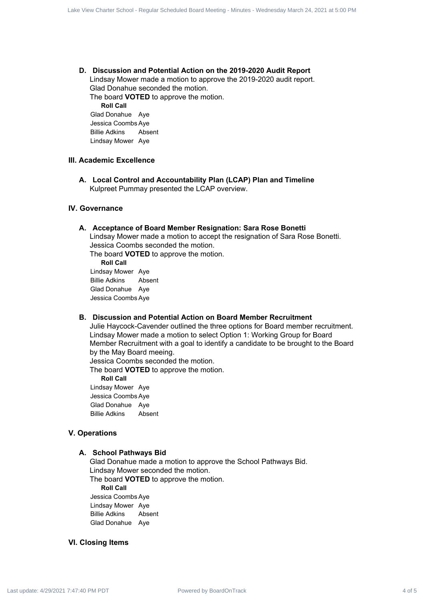#### **D. Discussion and Potential Action on the 2019-2020 Audit Report** Lindsay Mower made a motion to approve the 2019-2020 audit report. Glad Donahue seconded the motion. The board **VOTED** to approve the motion. **Roll Call**

Glad Donahue Aye Jessica Coombs Aye Billie Adkins Absent Lindsay Mower Aye

## **III. Academic Excellence**

**A. Local Control and Accountability Plan (LCAP) Plan and Timeline** Kulpreet Pummay presented the LCAP overview.

#### **IV. Governance**

#### **A. Acceptance of Board Member Resignation: Sara Rose Bonetti**

Lindsay Mower made a motion to accept the resignation of Sara Rose Bonetti. Jessica Coombs seconded the motion.

The board **VOTED** to approve the motion.

**Roll Call** Lindsay Mower Aye Billie Adkins Absent Glad Donahue Aye Jessica Coombs Aye

#### **B. Discussion and Potential Action on Board Member Recruitment**

Julie Haycock-Cavender outlined the three options for Board member recruitment. Lindsay Mower made a motion to select Option 1: Working Group for Board Member Recruitment with a goal to identify a candidate to be brought to the Board by the May Board meeing. Power Comparison and Polandia Action on the 3019-2022 Audil Regular<br>
2. Distribution and Polandia Action on the 3019-2022 Audil Regular<br>
Universy March 21, and control the minutes - Wednesday<br>
2. Distribution and Regular

Jessica Coombs seconded the motion.

The board **VOTED** to approve the motion.

**Roll Call**

Lindsay Mower Aye Jessica Coombs Aye Glad Donahue Aye Billie Adkins Absent

## **V. Operations**

#### **A. School Pathways Bid**

Glad Donahue made a motion to approve the School Pathways Bid. Lindsay Mower seconded the motion. The board **VOTED** to approve the motion.

**Roll Call**

Jessica Coombs Aye Lindsay Mower Aye Billie Adkins Absent Glad Donahue Aye

#### **VI. Closing Items**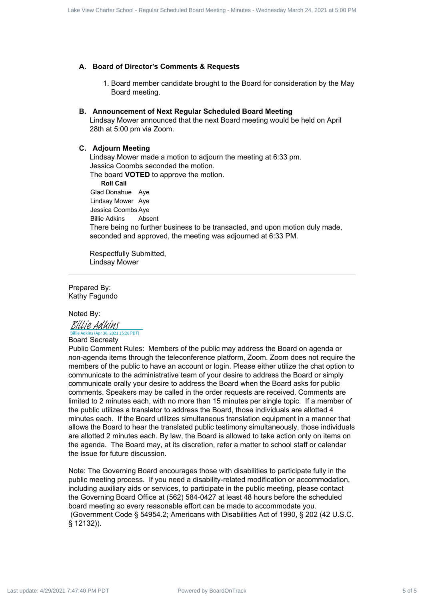#### **A. Board of Director's Comments & Requests**

1. Board member candidate brought to the Board for consideration by the May Board meeting.

#### **B. Announcement of Next Regular Scheduled Board Meeting**

Lindsay Mower announced that the next Board meeting would be held on April 28th at 5:00 pm via Zoom.

#### **C. Adjourn Meeting**

Lindsay Mower made a motion to adjourn the meeting at 6:33 pm. Jessica Coombs seconded the motion. The board **VOTED** to approve the motion. **Roll Call** Glad Donahue Aye Lindsay Mower Aye Jessica Coombs Aye Billie Adkins Absent There being no further business to be transacted, and upon motion duly made, seconded and approved, the meeting was adjourned at 6:33 PM.

Respectfully Submitted, Lindsay Mower

Prepared By: Kathy Fagundo

#### Noted By:

BILLIE Ad UINS<br>[Billie Adkins](https://na1.documents.adobe.com/verifier?tx=CBJCHBCAABAApd6VME7kt-Wdvc1eK39hNycp3mlYMkcS) (Apr 30, 2021 15:26 PDT)

#### Board Secreaty

Public Comment Rules: Members of the public may address the Board on agenda or non-agenda items through the teleconference platform, Zoom. Zoom does not require the members of the public to have an account or login. Please either utilize the chat option to communicate to the administrative team of your desire to address the Board or simply communicate orally your desire to address the Board when the Board asks for public comments. Speakers may be called in the order requests are received. Comments are limited to 2 minutes each, with no more than 15 minutes per single topic. If a member of the public utilizes a translator to address the Board, those individuals are allotted 4 minutes each. If the Board utilizes simultaneous translation equipment in a manner that allows the Board to hear the translated public testimony simultaneously, those individuals are allotted 2 minutes each. By law, the Board is allowed to take action only on items on the agenda. The Board may, at its discretion, refer a matter to school staff or calendar the issue for future discussion. of 5 Carrier Schedule Hersele Scheduled Board 15 Carrier Scheduled Board Meeting - Minutes - Minutes - Minutes - Minutes - Minutes - Minutes - Minutes - Minutes - Minutes - Minutes - Minutes - Minutes - Minutes - Minute

Note: The Governing Board encourages those with disabilities to participate fully in the public meeting process. If you need a disability-related modification or accommodation, including auxiliary aids or services, to participate in the public meeting, please contact the Governing Board Office at (562) 584-0427 at least 48 hours before the scheduled board meeting so every reasonable effort can be made to accommodate you. (Government Code § 54954.2; Americans with Disabilities Act of 1990, § 202 (42 U.S.C. § 12132)).